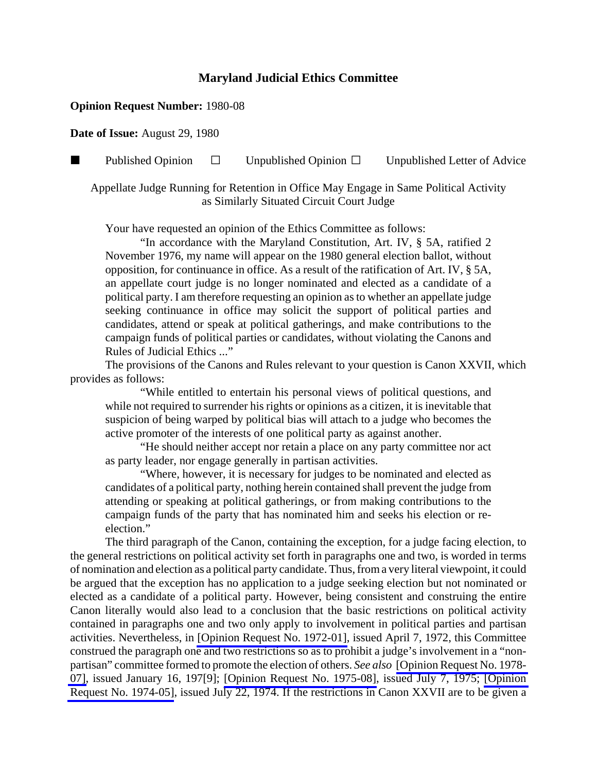## **Maryland Judicial Ethics Committee**

## **Opinion Request Number:** 1980-08

**Date of Issue:** August 29, 1980

**Published Opinion**  $\Box$  Unpublished Opinion  $\Box$  Unpublished Letter of Advice

Appellate Judge Running for Retention in Office May Engage in Same Political Activity as Similarly Situated Circuit Court Judge

Your have requested an opinion of the Ethics Committee as follows:

"In accordance with the Maryland Constitution, Art. IV, § 5A, ratified 2 November 1976, my name will appear on the 1980 general election ballot, without opposition, for continuance in office. As a result of the ratification of Art. IV, § 5A, an appellate court judge is no longer nominated and elected as a candidate of a political party. I am therefore requesting an opinion as to whether an appellate judge seeking continuance in office may solicit the support of political parties and candidates, attend or speak at political gatherings, and make contributions to the campaign funds of political parties or candidates, without violating the Canons and Rules of Judicial Ethics ..."

The provisions of the Canons and Rules relevant to your question is Canon XXVII, which provides as follows:

"While entitled to entertain his personal views of political questions, and while not required to surrender his rights or opinions as a citizen, it is inevitable that suspicion of being warped by political bias will attach to a judge who becomes the active promoter of the interests of one political party as against another.

"He should neither accept nor retain a place on any party committee nor act as party leader, nor engage generally in partisan activities.

"Where, however, it is necessary for judges to be nominated and elected as candidates of a political party, nothing herein contained shall prevent the judge from attending or speaking at political gatherings, or from making contributions to the campaign funds of the party that has nominated him and seeks his election or reelection."

The third paragraph of the Canon, containing the exception, for a judge facing election, to the general restrictions on political activity set forth in paragraphs one and two, is worded in terms of nomination and election as a political party candidate. Thus, from a very literal viewpoint, it could be argued that the exception has no application to a judge seeking election but not nominated or elected as a candidate of a political party. However, being consistent and construing the entire Canon literally would also lead to a conclusion that the basic restrictions on political activity contained in paragraphs one and two only apply to involvement in political parties and partisan activities. Nevertheless, in [\[Opinion Request No. 1972-01\],](http://www.mdcourts.gov/ethics/pdfs/1972-01.pdf) issued April 7, 1972, this Committee construed the paragraph one and two restrictions so as to prohibit a judge's involvement in a "nonpartisan" committee formed to promote the election of others. *See also* [\[Opinion Request No. 1978-](http://www.mdcourts.gov/ethics/pdfs/1978-07.pdf) [07\],](http://www.mdcourts.gov/ethics/pdfs/1978-07.pdf) issued January 16, 197[9]; [\[Opinion Request No. 1975-08\]](http://www.mdcourts.gov/ethics/pdfs/1975-08.pdf), issued July 7, 1975; [\[Opinion](http://www.mdcourts.gov/ethics/pdfs/1974-05.pdf) [Request No. 1974-05\],](http://www.mdcourts.gov/ethics/pdfs/1974-05.pdf) issued July 22, 1974. If the restrictions in Canon XXVII are to be given a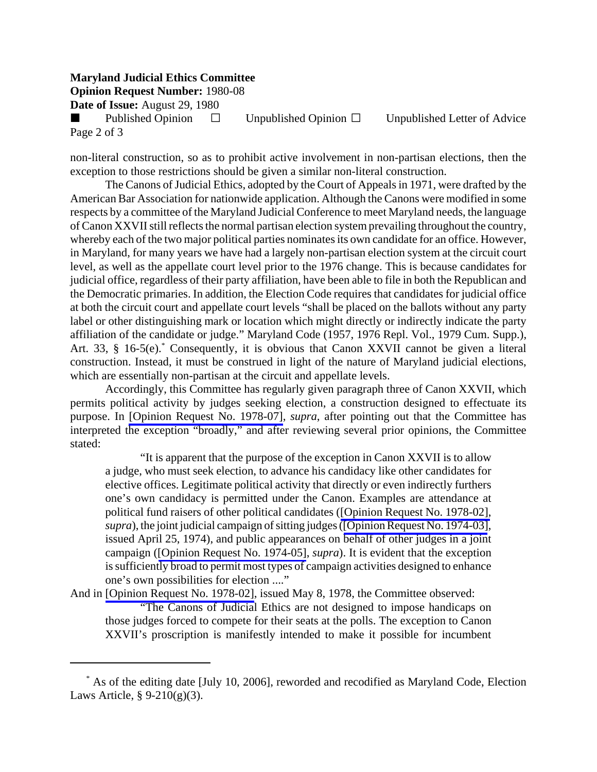## **Maryland Judicial Ethics Committee**

**Opinion Request Number:** 1980-08

**Date of Issue:** August 29, 1980

Published Opinion  $\Box$  Unpublished Opinion  $\Box$  Unpublished Letter of Advice Page 2 of 3

non-literal construction, so as to prohibit active involvement in non-partisan elections, then the exception to those restrictions should be given a similar non-literal construction.

The Canons of Judicial Ethics, adopted by the Court of Appeals in 1971, were drafted by the American Bar Association for nationwide application. Although the Canons were modified in some respects by a committee of the Maryland Judicial Conference to meet Maryland needs, the language of Canon XXVII still reflects the normal partisan election system prevailing throughout the country, whereby each of the two major political parties nominates its own candidate for an office. However, in Maryland, for many years we have had a largely non-partisan election system at the circuit court level, as well as the appellate court level prior to the 1976 change. This is because candidates for judicial office, regardless of their party affiliation, have been able to file in both the Republican and the Democratic primaries. In addition, the Election Code requires that candidates for judicial office at both the circuit court and appellate court levels "shall be placed on the ballots without any party label or other distinguishing mark or location which might directly or indirectly indicate the party affiliation of the candidate or judge." Maryland Code (1957, 1976 Repl. Vol., 1979 Cum. Supp.), Art. 33, § 16-5(e).<sup>\*</sup> Consequently, it is obvious that Canon XXVII cannot be given a literal construction. Instead, it must be construed in light of the nature of Maryland judicial elections, which are essentially non-partisan at the circuit and appellate levels.

Accordingly, this Committee has regularly given paragraph three of Canon XXVII, which permits political activity by judges seeking election, a construction designed to effectuate its purpose. In [\[Opinion Request No. 1978-07\]](http://www.mdcourts.gov/ethics/pdfs/1978-07.pdf), *supra*, after pointing out that the Committee has interpreted the exception "broadly," and after reviewing several prior opinions, the Committee stated:

"It is apparent that the purpose of the exception in Canon XXVII is to allow a judge, who must seek election, to advance his candidacy like other candidates for elective offices. Legitimate political activity that directly or even indirectly furthers one's own candidacy is permitted under the Canon. Examples are attendance at political fund raisers of other political candidates ([\[Opinion Request No. 1978-02\],](http://www.mdcourts.gov/ethics/pdfs/1978-02.pdf) *supra*), the joint judicial campaign of sitting judges ([\[Opinion Request No. 1974-03\]](http://www.mdcourts.gov/ethics/pdfs/1974-03.pdf), issued April 25, 1974), and public appearances on behalf of other judges in a joint campaign ([\[Opinion Request No. 1974-05\]](http://www.mdcourts.gov/ethics/pdfs/1974-05.pdf), *supra*). It is evident that the exception is sufficiently broad to permit most types of campaign activities designed to enhance one's own possibilities for election ...."

And in [\[Opinion Request No. 1978-02\],](http://www.mdcourts.gov/ethics/pdfs/1978-02.pdf) issued May 8, 1978, the Committee observed: "The Canons of Judicial Ethics are not designed to impose handicaps on those judges forced to compete for their seats at the polls. The exception to Canon XXVII's proscription is manifestly intended to make it possible for incumbent

 <sup>\*</sup> As of the editing date [July 10, 2006], reworded and recodified as Maryland Code, Election Laws Article,  $\S 9-210(g)(3)$ .